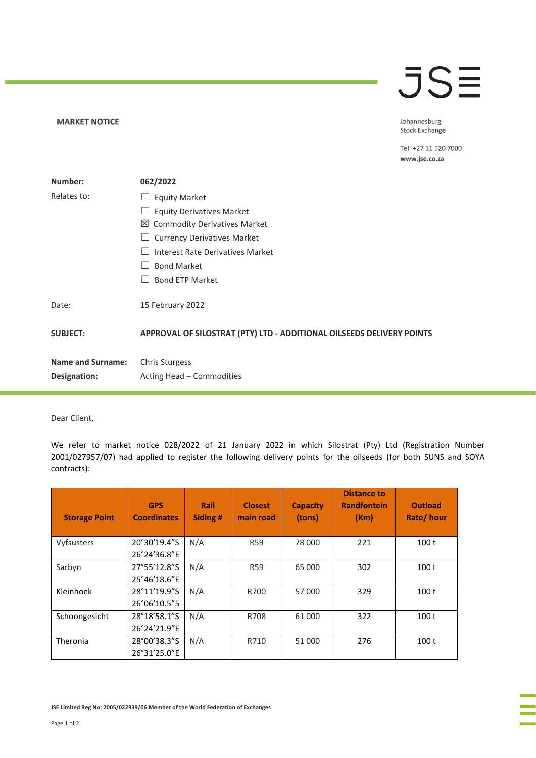## **JSE**

**MARKET NOTICE** 

Johannesburg Stock Exchange

Tel: +27 11 520 7000 www.jse.co.za

| Number:                  | 062/2022                                                              |
|--------------------------|-----------------------------------------------------------------------|
| Relates to:              | <b>Equity Market</b>                                                  |
|                          | <b>Equity Derivatives Market</b>                                      |
|                          | 凶 Commodity Derivatives Market                                        |
|                          | <b>Currency Derivatives Market</b>                                    |
|                          | Interest Rate Derivatives Market                                      |
|                          | <b>Bond Market</b>                                                    |
|                          | <b>Bond ETP Market</b>                                                |
| Date:                    | 15 February 2022                                                      |
| <b>SUBJECT:</b>          | APPROVAL OF SILOSTRAT (PTY) LTD - ADDITIONAL OILSEEDS DELIVERY POINTS |
| <b>Name and Surname:</b> | <b>Chris Sturgess</b>                                                 |
| Designation:             | Acting Head - Commodities                                             |

Dear Client,

We refer to market notice 028/2022 of 21 January 2022 in which Silostrat (Pty) Ltd (Registration Number 2001/027957/07) had applied to register the following delivery points for the oilseeds (for both SUNS and SOYA contracts):

| <b>Storage Point</b> | <b>GPS</b><br><b>Coordinates</b> | Rail<br>Siding # | <b>Closest</b><br>main road | <b>Capacity</b><br>(tons) | <b>Distance to</b><br><b>Randfontein</b><br>(Km) | <b>Outload</b><br>Rate/hour |
|----------------------|----------------------------------|------------------|-----------------------------|---------------------------|--------------------------------------------------|-----------------------------|
| <b>Vyfsusters</b>    | 20°30'19.4"S<br>26°24'36.8"E     | N/A              | <b>R59</b>                  | 78 000                    | 221                                              | 100 <sub>t</sub>            |
| Sarbyn               | 27°55'12.8"S<br>25°46'18.6"E     | N/A              | <b>R59</b>                  | 65 000                    | 302                                              | 100 <sub>t</sub>            |
| Kleinhoek            | 28°11'19.9"S<br>26°06'10.5"5     | N/A              | R700                        | 57 000                    | 329                                              | 100 <sub>t</sub>            |
| Schoongesicht        | 28°18'58.1"S<br>26°24'21.9"E     | N/A              | R708                        | 61 000                    | 322                                              | 100 <sub>t</sub>            |
| Theronia             | 28°00'38.3"S<br>26°31'25.0"E     | N/A              | R710                        | 51 000                    | 276                                              | 100 <sub>t</sub>            |